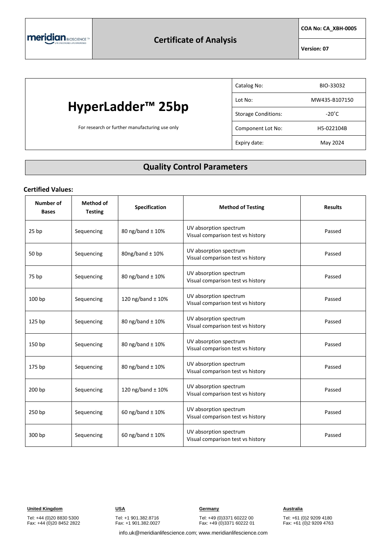**COA No: CA\_XBH-0005**

**Version: 07**

# **HyperLadder™ 25bp**

For research or further manufacturing use only

| Catalog No:                | BIO-33032       |
|----------------------------|-----------------|
| Lot No:                    | MW435-B107150   |
| <b>Storage Conditions:</b> | $-20^{\circ}$ C |
| Component Lot No:          | H5-022104B      |
| Expiry date:               | May 2024        |

#### **Quality Control Parameters**

#### **Certified Values:**

| <b>Number of</b><br><b>Bases</b> | <b>Method of</b><br><b>Testing</b> | <b>Specification</b>  | <b>Method of Testing</b>                                    | <b>Results</b> |
|----------------------------------|------------------------------------|-----------------------|-------------------------------------------------------------|----------------|
| 25 <sub>bp</sub>                 | Sequencing                         | 80 ng/band ± 10%      | UV absorption spectrum<br>Visual comparison test vs history | Passed         |
| 50 bp                            | Sequencing                         | 80ng/band $\pm$ 10%   | UV absorption spectrum<br>Visual comparison test vs history | Passed         |
| 75 bp                            | Sequencing                         | 80 ng/band ± 10%      | UV absorption spectrum<br>Visual comparison test vs history | Passed         |
| 100 bp                           | Sequencing                         | 120 ng/band $\pm$ 10% | UV absorption spectrum<br>Visual comparison test vs history | Passed         |
| 125 bp                           | Sequencing                         | 80 ng/band ± 10%      | UV absorption spectrum<br>Visual comparison test vs history | Passed         |
| 150 bp                           | Sequencing                         | 80 ng/band ± 10%      | UV absorption spectrum<br>Visual comparison test vs history | Passed         |
| 175 bp                           | Sequencing                         | 80 ng/band ± 10%      | UV absorption spectrum<br>Visual comparison test vs history | Passed         |
| 200 bp                           | Sequencing                         | 120 ng/band $\pm$ 10% | UV absorption spectrum<br>Visual comparison test vs history | Passed         |
| 250 bp                           | Sequencing                         | 60 ng/band $\pm$ 10%  | UV absorption spectrum<br>Visual comparison test vs history | Passed         |
| 300 bp                           | Sequencing                         | 60 ng/band $\pm$ 10%  | UV absorption spectrum<br>Visual comparison test vs history | Passed         |

Tel: +44 (0)20 8830 5300 Fax: +44 (0)20 8452 2822 Tel: +1 901.382.8716 Fax: +1 901.382.0027

**United Kingdom USA Germany Australia**

Tel: +49 (0)3371 60222 00 Fax: +49 (0)3371 60222 01

Tel: +61 (0)2 9209 4180 Fax: +61 (0)2 9209 4763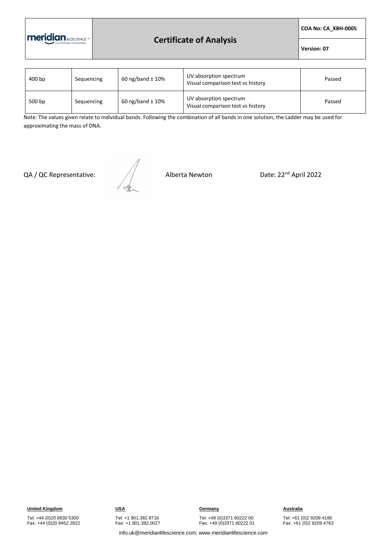

## **Certificate of Analysis**

**COA No: CA\_XBH-0005**

**Version: 07**

| 400 bp | Sequencing | 60 ng/band $\pm$ 10% | UV absorption spectrum<br>Visual comparison test vs history | Passed |
|--------|------------|----------------------|-------------------------------------------------------------|--------|
| 500 bp | Sequencing | 60 ng/band $\pm$ 10% | UV absorption spectrum<br>Visual comparison test vs history | Passed |

Note: The values given relate to individual bands. Following the combination of all bands in one solution, the Ladder may be used for approximating the mass of DNA.

QA / QC Representative:  $\sqrt{2}$  Alberta Newton Date: 22<sup>nd</sup> April 2022



Tel: +44 (0)20 8830 5300 Fax: +44 (0)20 8452 2822 Tel: +1 901.382.8716 Fax: +1 901.382.0027

Tel: +49 (0)3371 60222 00 Fax: +49 (0)3371 60222 01

Tel: +61 (0)2 9209 4180 Fax: +61 (0)2 9209 4763

info.uk@meridianlifescience.com; www.meridianlifescience.com